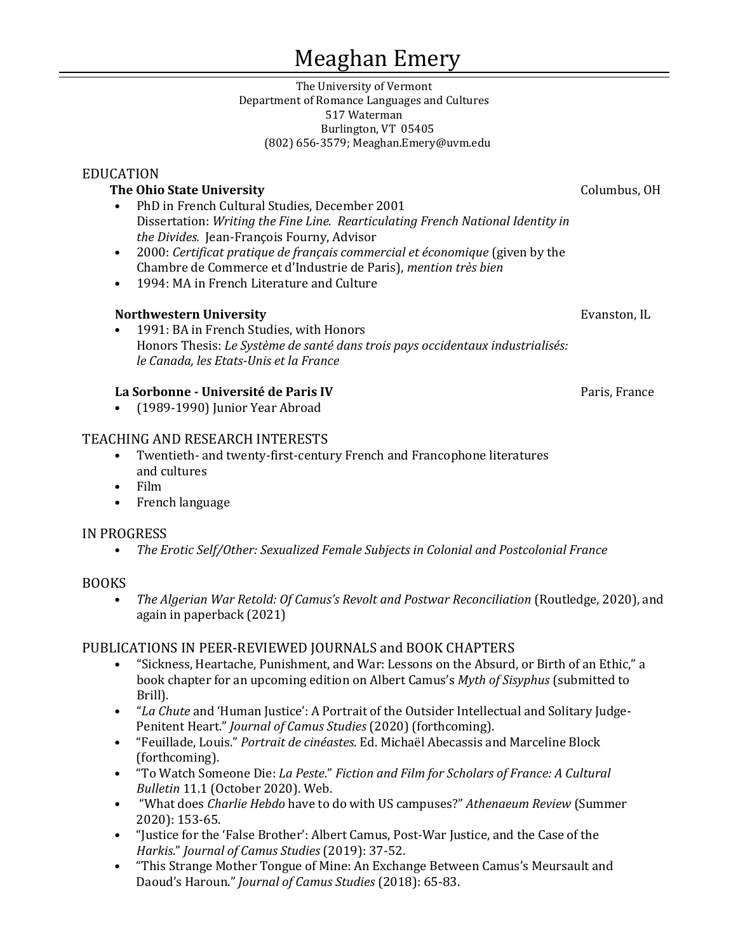### Meaghan Emery

The University of Vermont Department of Romance Languages and Cultures 517 Waterman Burlington, VT 05405 (802) 656-3579; Meaghan.Emery@uvm.edu

### EDUCATION

- **The Ohio State University**<br>
PhD in French Cultural Studies, December 2001<br>
PhD in French Cultural Studies, December 2001 • PhD in French Cultural Studies, December 2001 Dissertation: *Writing the Fine Line. Rearticulating French National Identity in the Divides.* Jean-François Fourny, Advisor
- 2000: *Certificat pratique de français commercial et économique* (given by the Chambre de Commerce et d'Industrie de Paris), *mention très bien*
- 1994: MA in French Literature and Culture

### **Northwestern University Evanston, IL**

• 1991: BA in French Studies, with Honors Honors Thesis: *Le Système de santé dans trois pays occidentaux industrialisés: le Canada, les Etats-Unis et la France*

### **La Sorbonne - Université de Paris IV** Paris IV Paris, France

• (1989-1990) Junior Year Abroad

### TEACHING AND RESEARCH INTERESTS

- Twentieth- and twenty-first-century French and Francophone literatures and cultures
- Film
- French language

### IN PROGRESS

• *The Erotic Self/Other: Sexualized Female Subjects in Colonial and Postcolonial France*

### BOOKS

• *The Algerian War Retold: Of Camus's Revolt and Postwar Reconciliation* (Routledge, 2020), and again in paperback (2021)

### PUBLICATIONS IN PEER-REVIEWED JOURNALS and BOOK CHAPTERS<br>• "Sickness Heartache Punishment and War: Lessons on the Absurd

- "Sickness, Heartache, Punishment, and War: Lessons on the Absurd, or Birth of an Ethic," a book chapter for an upcoming edition on Albert Camus's *Myth of Sisyphus* (submitted to Brill).
- "*La Chute* and 'Human Justice': A Portrait of the Outsider Intellectual and Solitary Judge-Penitent Heart." *Journal of Camus Studies* (2020) (forthcoming).
- "Feuillade, Louis." *Portrait de cinéastes*. Ed. Michaël Abecassis and Marceline Block (forthcoming).
- "To Watch Someone Die: *La Peste*." *Fiction and Film for Scholars of France: A Cultural Bulletin* 11.1 (October 2020). Web.
- "What does *Charlie Hebdo* have to do with US campuses?" *Athenaeum Review* (Summer 2020): 153-65.
- "Justice for the 'False Brother': Albert Camus, Post-War Justice, and the Case of the *Harkis*." *Journal of Camus Studies* (2019): 37-52.
- "This Strange Mother Tongue of Mine: An Exchange Between Camus's Meursault and Daoud's Haroun." *Journal of Camus Studies* (2018): 65-83.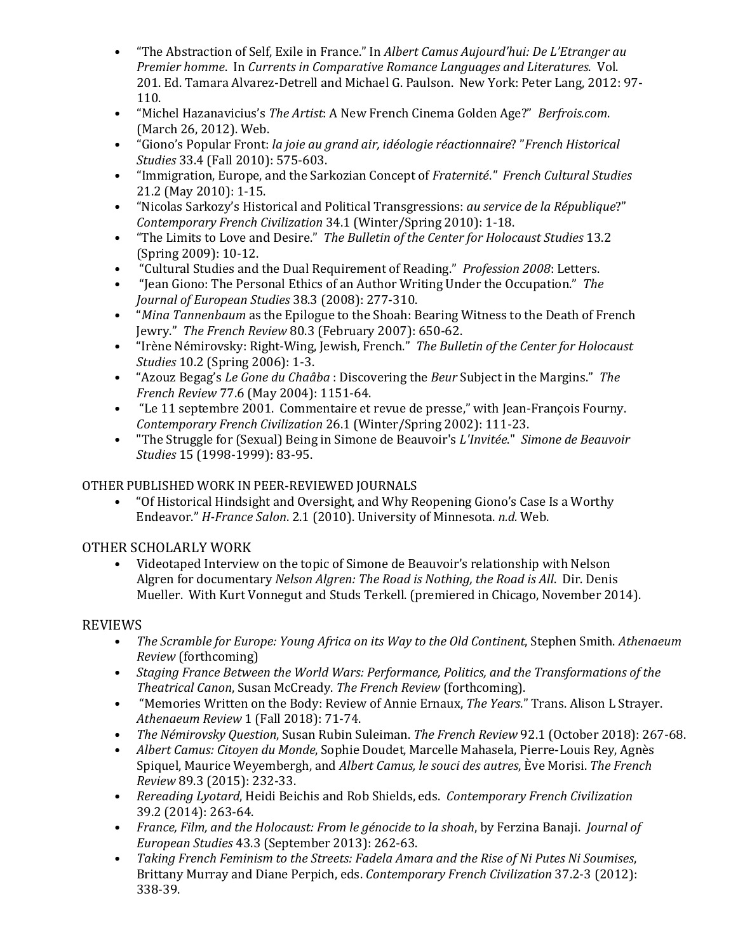- "The Abstraction of Self, Exile in France." In *Albert Camus Aujourd'hui: De L'Etranger au Premier homme*. In *Currents in Comparative Romance Languages and Literatures*. Vol. 201. Ed. Tamara Alvarez-Detrell and Michael G. Paulson. New York: Peter Lang, 2012: 97- 110.
- "Michel Hazanavicius's *The Artist*: A New French Cinema Golden Age?" *Berfrois.com*. (March 26, 2012). Web.
- "Giono's Popular Front: *la joie au grand air, idéologie réactionnaire*? "*French Historical Studies* 33.4 (Fall 2010): 575-603.
- "Immigration, Europe, and the Sarkozian Concept of *Fraternité*.*" French Cultural Studies* 21.2 (May 2010): 1-15.
- "Nicolas Sarkozy's Historical and Political Transgressions: *au service de la République*?" *Contemporary French Civilization* 34.1 (Winter/Spring 2010): 1-18.
- "The Limits to Love and Desire." *The Bulletin of the Center for Holocaust Studies* 13.2 (Spring 2009): 10-12.
- "Cultural Studies and the Dual Requirement of Reading." *Profession 2008*: Letters.
- "Jean Giono: The Personal Ethics of an Author Writing Under the Occupation." *The Journal of European Studies* 38.3 (2008): 277-310.
- "*Mina Tannenbaum* as the Epilogue to the Shoah: Bearing Witness to the Death of French Jewry." *The French Review* 80.3 (February 2007): 650-62.
- "Irène Némirovsky: Right-Wing, Jewish, French." *The Bulletin of the Center for Holocaust Studies* 10.2 (Spring 2006): 1-3.
- "Azouz Begag's *Le Gone du Chaâba* : Discovering the *Beur* Subject in the Margins." *The French Review* 77.6 (May 2004): 1151-64.
- "Le 11 septembre 2001. Commentaire et revue de presse," with Jean-François Fourny. *Contemporary French Civilization* 26.1 (Winter/Spring 2002): 111-23.
- "The Struggle for (Sexual) Being in Simone de Beauvoir's *L'Invitée*." *Simone de Beauvoir Studies* 15 (1998-1999): 83-95.

### OTHER PUBLISHED WORK IN PEER-REVIEWED JOURNALS<br>Of Historical Hindsight and Oversight, and Why R

• "Of Historical Hindsight and Oversight, and Why Reopening Giono's Case Is a Worthy Endeavor." *H-France Salon*. 2.1 (2010). University of Minnesota. *n.d.* Web.

### OTHER SCHOLARLY WORK

• Videotaped Interview on the topic of Simone de Beauvoir's relationship with Nelson Algren for documentary *Nelson Algren: The Road is Nothing, the Road is All*. Dir. Denis Mueller. With Kurt Vonnegut and Studs Terkell. (premiered in Chicago, November 2014).

# REVIEWS • T

- *The Scramble for Europe: Young Africa on its Way to the Old Continent*, Stephen Smith. *Athenaeum Review* (forthcoming)
- *Staging France Between the World Wars: Performance, Politics, and the Transformations of the Theatrical Canon*, Susan McCready. *The French Review* (forthcoming).
- "Memories Written on the Body: Review of Annie Ernaux, *The Years*." Trans. Alison L Strayer. *Athenaeum Review* 1 (Fall 2018): 71-74.
- *The Némirovsky Question*, Susan Rubin Suleiman. *The French Review* 92.1 (October 2018): 267-68.
- *Albert Camus: Citoyen du Monde*, Sophie Doudet, Marcelle Mahasela, Pierre-Louis Rey, Agnès Spiquel, Maurice Weyembergh, and *Albert Camus, le souci des autres*, Ève Morisi. *The French Review* 89.3 (2015): 232-33.
- *Rereading Lyotard*, Heidi Beichis and Rob Shields, eds. *Contemporary French Civilization* 39.2 (2014): 263-64.
- *France, Film, and the Holocaust: From le génocide to la shoah*, by Ferzina Banaji. *Journal of European Studies* 43.3 (September 2013): 262-63.
- *Taking French Feminism to the Streets: Fadela Amara and the Rise of Ni Putes Ni Soumises*, Brittany Murray and Diane Perpich, eds. *Contemporary French Civilization* 37.2-3 (2012): 338-39.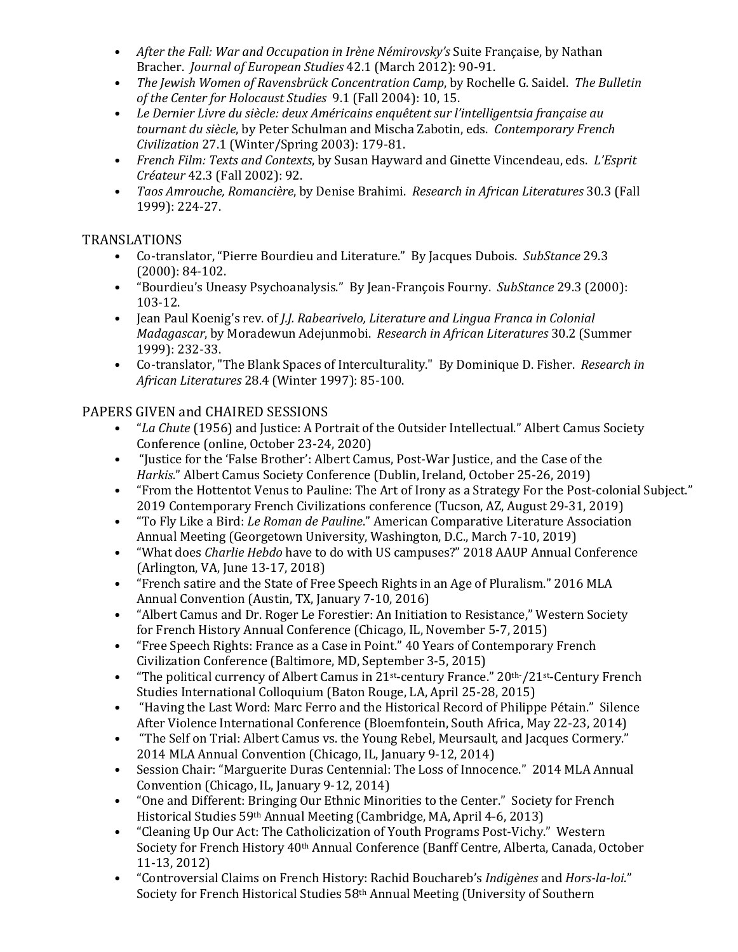- *After the Fall: War and Occupation in Irène Némirovsky's* Suite Française, by Nathan Bracher. *Journal of European Studies* 42.1 (March 2012): 90-91.
- *The Jewish Women of Ravensbrück Concentration Camp*, by Rochelle G. Saidel. *The Bulletin of the Center for Holocaust Studies* 9.1 (Fall 2004): 10, 15.
- *Le Dernier Livre du siècle: deux Américains enquêtent sur l'intelligentsia française au tournant du siècle*, by Peter Schulman and Mischa Zabotin, eds. *Contemporary French Civilization* 27.1 (Winter/Spring 2003): 179-81.
- *French Film: Texts and Contexts*, by Susan Hayward and Ginette Vincendeau, eds. *L'Esprit Créateur* 42.3 (Fall 2002): 92.
- *Taos Amrouche, Romancière*, by Denise Brahimi. *Research in African Literatures* 30.3 (Fall 1999): 224-27.

## TRANSLATIONS<br>Co-trans

- Co-translator, "Pierre Bourdieu and Literature." By Jacques Dubois. *SubStance* 29.3 (2000): 84-102.
- "Bourdieu's Uneasy Psychoanalysis." By Jean-François Fourny. *SubStance* 29.3 (2000): 103-12.
- Jean Paul Koenig's rev. of *J.J. Rabearivelo, Literature and Lingua Franca in Colonial Madagascar*, by Moradewun Adejunmobi. *Research in African Literatures* 30.2 (Summer 1999): 232-33.
- Co-translator, "The Blank Spaces of Interculturality." By Dominique D. Fisher. *Research in African Literatures* 28.4 (Winter 1997): 85-100.

# PAPERS GIVEN and CHAIRED SESSIONS<br>*• La Chute* (1956) and Justice: A Point

- "*La Chute* (1956) and Justice: A Portrait of the Outsider Intellectual." Albert Camus Society Conference (online, October 23-24, 2020)
- "Justice for the 'False Brother': Albert Camus, Post-War Justice, and the Case of the *Harkis*." Albert Camus Society Conference (Dublin, Ireland, October 25-26, 2019)
- "From the Hottentot Venus to Pauline: The Art of Irony as a Strategy For the Post-colonial Subject." 2019 Contemporary French Civilizations conference (Tucson, AZ, August 29-31, 2019)
- "To Fly Like a Bird: *Le Roman de Pauline*." American Comparative Literature Association Annual Meeting (Georgetown University, Washington, D.C., March 7-10, 2019)
- "What does *Charlie Hebdo* have to do with US campuses?" 2018 AAUP Annual Conference (Arlington, VA, June 13-17, 2018)
- "French satire and the State of Free Speech Rights in an Age of Pluralism." 2016 MLA Annual Convention (Austin, TX, January 7-10, 2016)
- "Albert Camus and Dr. Roger Le Forestier: An Initiation to Resistance," Western Society for French History Annual Conference (Chicago, IL, November 5-7, 2015)
- "Free Speech Rights: France as a Case in Point." 40 Years of Contemporary French Civilization Conference (Baltimore, MD, September 3-5, 2015)
- "The political currency of Albert Camus in 21st-century France." 20th- /21st-Century French Studies International Colloquium (Baton Rouge, LA, April 25-28, 2015)
- "Having the Last Word: Marc Ferro and the Historical Record of Philippe Pétain." Silence After Violence International Conference (Bloemfontein, South Africa, May 22-23, 2014)
- "The Self on Trial: Albert Camus vs. the Young Rebel, Meursault, and Jacques Cormery." 2014 MLA Annual Convention (Chicago, IL, January 9-12, 2014)
- Session Chair: "Marguerite Duras Centennial: The Loss of Innocence." 2014 MLA Annual Convention (Chicago, IL, January 9-12, 2014)
- "One and Different: Bringing Our Ethnic Minorities to the Center." Society for French Historical Studies 59th Annual Meeting (Cambridge, MA, April 4-6, 2013)
- "Cleaning Up Our Act: The Catholicization of Youth Programs Post-Vichy." Western Society for French History 40<sup>th</sup> Annual Conference (Banff Centre, Alberta, Canada, October 11-13, 2012)
- "Controversial Claims on French History: Rachid Bouchareb's *Indigènes* and *Hors-la-loi*." Society for French Historical Studies 58th Annual Meeting (University of Southern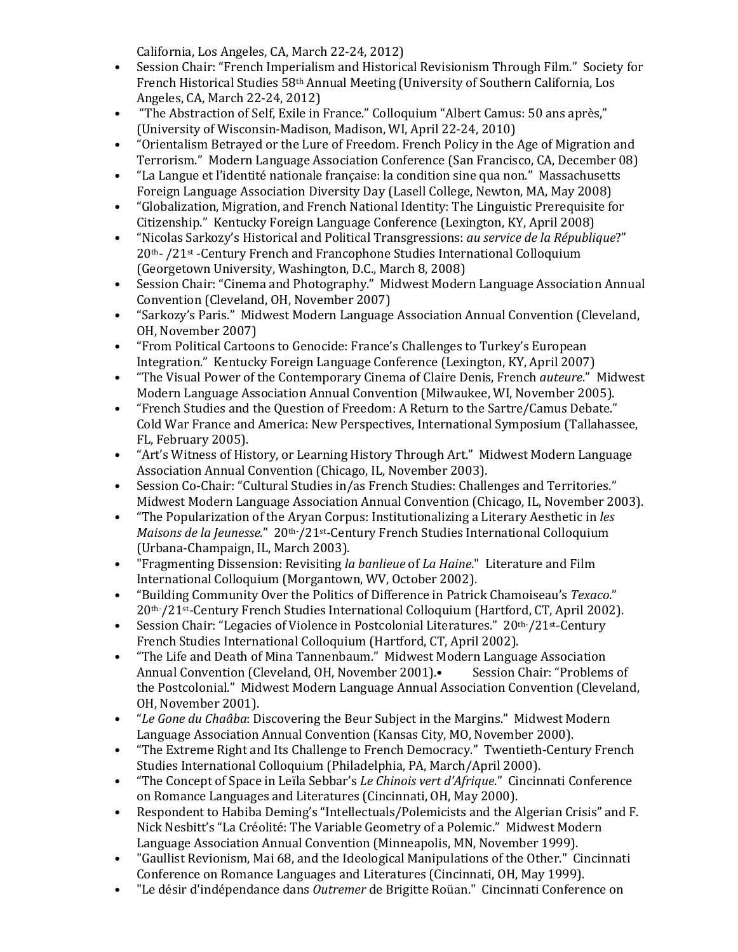California, Los Angeles, CA, March 22-24, 2012)

- Session Chair: "French Imperialism and Historical Revisionism Through Film." Society for French Historical Studies 58th Annual Meeting (University of Southern California, Los Angeles, CA, March 22-24, 2012)
- "The Abstraction of Self, Exile in France." Colloquium "Albert Camus: 50 ans après," (University of Wisconsin-Madison, Madison, WI, April 22-24, 2010)
- "Orientalism Betrayed or the Lure of Freedom. French Policy in the Age of Migration and Terrorism." Modern Language Association Conference (San Francisco, CA, December 08)
- "La Langue et l'identité nationale française: la condition sine qua non." Massachusetts Foreign Language Association Diversity Day (Lasell College, Newton, MA, May 2008)
- "Globalization, Migration, and French National Identity: The Linguistic Prerequisite for Citizenship." Kentucky Foreign Language Conference (Lexington, KY, April 2008)
- "Nicolas Sarkozy's Historical and Political Transgressions: *au service de la République*?" 20th- /21st -Century French and Francophone Studies International Colloquium (Georgetown University, Washington, D.C., March 8, 2008)
- Session Chair: "Cinema and Photography." Midwest Modern Language Association Annual Convention (Cleveland, OH, November 2007)
- "Sarkozy's Paris." Midwest Modern Language Association Annual Convention (Cleveland, OH, November 2007)
- "From Political Cartoons to Genocide: France's Challenges to Turkey's European Integration." Kentucky Foreign Language Conference (Lexington, KY, April 2007)
- "The Visual Power of the Contemporary Cinema of Claire Denis, French *auteure*." Midwest Modern Language Association Annual Convention (Milwaukee, WI, November 2005).
- "French Studies and the Question of Freedom: A Return to the Sartre/Camus Debate." Cold War France and America: New Perspectives, International Symposium (Tallahassee, FL, February 2005).
- "Art's Witness of History, or Learning History Through Art." Midwest Modern Language Association Annual Convention (Chicago, IL, November 2003).
- Session Co-Chair: "Cultural Studies in/as French Studies: Challenges and Territories." Midwest Modern Language Association Annual Convention (Chicago, IL, November 2003).
- "The Popularization of the Aryan Corpus: Institutionalizing a Literary Aesthetic in *les Maisons de la Jeunesse*." 20th- /21st-Century French Studies International Colloquium (Urbana-Champaign, IL, March 2003).
- "Fragmenting Dissension: Revisiting *la banlieue* of *La Haine*." Literature and Film International Colloquium (Morgantown, WV, October 2002).
- "Building Community Over the Politics of Difference in Patrick Chamoiseau's *Texaco*." 20th- /21st-Century French Studies International Colloquium (Hartford, CT, April 2002).
- Session Chair: "Legacies of Violence in Postcolonial Literatures." 20th-/21st-Century French Studies International Colloquium (Hartford, CT, April 2002).
- "The Life and Death of Mina Tannenbaum." Midwest Modern Language Association<br>Annual Convention (Cleveland. OH. November 2001). Session Chair: "Problems of Annual Convention (Cleveland, OH, November 2001). the Postcolonial." Midwest Modern Language Annual Association Convention (Cleveland, OH, November 2001).
- "*Le Gone du Chaâba*: Discovering the Beur Subject in the Margins." Midwest Modern Language Association Annual Convention (Kansas City, MO, November 2000).
- "The Extreme Right and Its Challenge to French Democracy." Twentieth-Century French Studies International Colloquium (Philadelphia, PA, March/April 2000).
- "The Concept of Space in Leïla Sebbar's *Le Chinois vert d'Afrique*." Cincinnati Conference on Romance Languages and Literatures (Cincinnati, OH, May 2000).
- Respondent to Habiba Deming's "Intellectuals/Polemicists and the Algerian Crisis" and F. Nick Nesbitt's "La Créolité: The Variable Geometry of a Polemic." Midwest Modern Language Association Annual Convention (Minneapolis, MN, November 1999).
- "Gaullist Revionism, Mai 68, and the Ideological Manipulations of the Other." Cincinnati Conference on Romance Languages and Literatures (Cincinnati, OH, May 1999).
- "Le désir d'indépendance dans *Outremer* de Brigitte Roüan." Cincinnati Conference on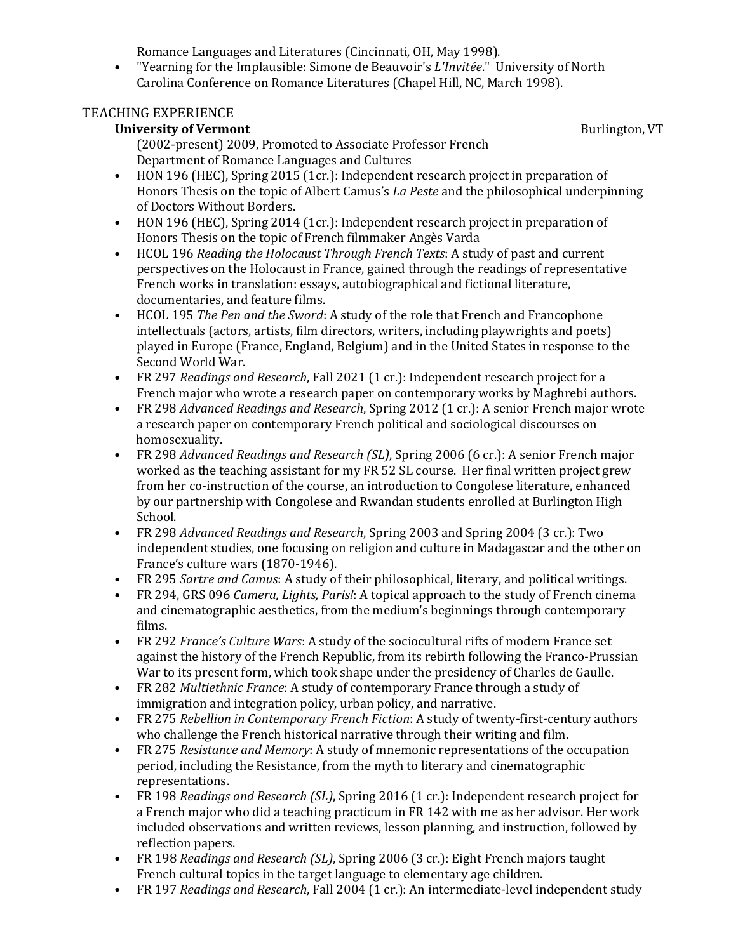Romance Languages and Literatures (Cincinnati, OH, May 1998).

• "Yearning for the Implausible: Simone de Beauvoir's *L'Invitée*." University of North Carolina Conference on Romance Literatures (Chapel Hill, NC, March 1998).

### TEACHING EXPERIENCE

### **University of Vermont Burlington, VT Burlington, VT**

(2002-present) 2009, Promoted to Associate Professor French Department of Romance Languages and Cultures

- HON 196 (HEC), Spring 2015 (1cr.): Independent research project in preparation of Honors Thesis on the topic of Albert Camus's *La Peste* and the philosophical underpinning of Doctors Without Borders.
- HON 196 (HEC), Spring 2014 (1cr.): Independent research project in preparation of Honors Thesis on the topic of French filmmaker Angès Varda
- HCOL 196 *Reading the Holocaust Through French Texts*: A study of past and current perspectives on the Holocaust in France, gained through the readings of representative French works in translation: essays, autobiographical and fictional literature, documentaries, and feature films.
- HCOL 195 *The Pen and the Sword*: A study of the role that French and Francophone intellectuals (actors, artists, film directors, writers, including playwrights and poets) played in Europe (France, England, Belgium) and in the United States in response to the Second World War.
- FR 297 *Readings and Research*, Fall 2021 (1 cr.): Independent research project for a French major who wrote a research paper on contemporary works by Maghrebi authors.
- FR 298 *Advanced Readings and Research*, Spring 2012 (1 cr.): A senior French major wrote a research paper on contemporary French political and sociological discourses on homosexuality.
- FR 298 *Advanced Readings and Research (SL)*, Spring 2006 (6 cr.): A senior French major worked as the teaching assistant for my FR 52 SL course. Her final written project grew from her co-instruction of the course, an introduction to Congolese literature, enhanced by our partnership with Congolese and Rwandan students enrolled at Burlington High School.
- FR 298 *Advanced Readings and Research*, Spring 2003 and Spring 2004 (3 cr.): Two independent studies, one focusing on religion and culture in Madagascar and the other on France's culture wars (1870-1946).
- FR 295 *Sartre and Camus*: A study of their philosophical, literary, and political writings.
- FR 294, GRS 096 *Camera, Lights, Paris!*: A topical approach to the study of French cinema and cinematographic aesthetics, from the medium's beginnings through contemporary films.
- FR 292 *France's Culture Wars*: A study of the sociocultural rifts of modern France set against the history of the French Republic, from its rebirth following the Franco-Prussian War to its present form, which took shape under the presidency of Charles de Gaulle.
- FR 282 *Multiethnic France*: A study of contemporary France through a study of immigration and integration policy, urban policy, and narrative.
- FR 275 *Rebellion in Contemporary French Fiction*: A study of twenty-first-century authors who challenge the French historical narrative through their writing and film.
- FR 275 *Resistance and Memory*: A study of mnemonic representations of the occupation period, including the Resistance, from the myth to literary and cinematographic representations.
- FR 198 *Readings and Research (SL)*, Spring 2016 (1 cr.): Independent research project for a French major who did a teaching practicum in FR 142 with me as her advisor. Her work included observations and written reviews, lesson planning, and instruction, followed by reflection papers.
- FR 198 *Readings and Research (SL)*, Spring 2006 (3 cr.): Eight French majors taught French cultural topics in the target language to elementary age children.
- FR 197 *Readings and Research*, Fall 2004 (1 cr.): An intermediate-level independent study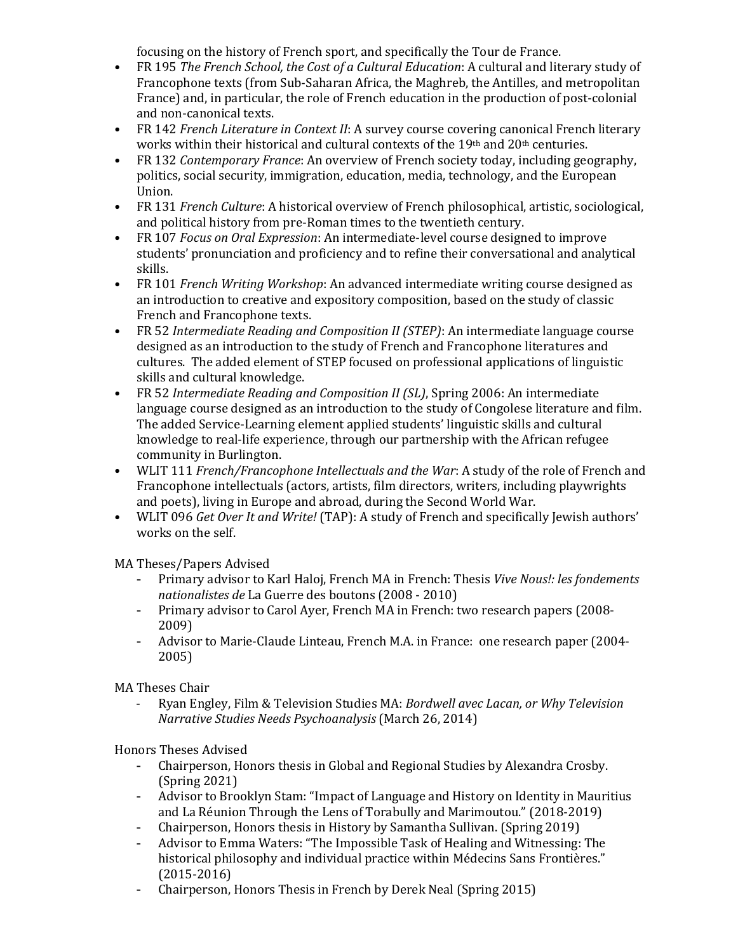focusing on the history of French sport, and specifically the Tour de France.

- FR 195 *The French School, the Cost of a Cultural Education*: A cultural and literary study of Francophone texts (from Sub-Saharan Africa, the Maghreb, the Antilles, and metropolitan France) and, in particular, the role of French education in the production of post-colonial and non-canonical texts.
- FR 142 *French Literature in Context II*: A survey course covering canonical French literary works within their historical and cultural contexts of the 19th and 20th centuries.
- FR 132 *Contemporary France*: An overview of French society today, including geography, politics, social security, immigration, education, media, technology, and the European Union.
- FR 131 *French Culture*: A historical overview of French philosophical, artistic, sociological, and political history from pre-Roman times to the twentieth century.
- FR 107 *Focus on Oral Expression*: An intermediate-level course designed to improve students' pronunciation and proficiency and to refine their conversational and analytical skills.
- FR 101 *French Writing Workshop*: An advanced intermediate writing course designed as an introduction to creative and expository composition, based on the study of classic French and Francophone texts.
- FR 52 *Intermediate Reading and Composition II (STEP)*: An intermediate language course designed as an introduction to the study of French and Francophone literatures and cultures. The added element of STEP focused on professional applications of linguistic skills and cultural knowledge.
- FR 52 *Intermediate Reading and Composition II (SL)*, Spring 2006: An intermediate language course designed as an introduction to the study of Congolese literature and film. The added Service-Learning element applied students' linguistic skills and cultural knowledge to real-life experience, through our partnership with the African refugee community in Burlington.
- WLIT 111 *French/Francophone Intellectuals and the War*: A study of the role of French and Francophone intellectuals (actors, artists, film directors, writers, including playwrights and poets), living in Europe and abroad, during the Second World War.
- WLIT 096 *Get Over It and Write!* (TAP): A study of French and specifically Jewish authors' works on the self.

MA Theses/Papers Advised<br>Primary advisor to **F** 

- Primary advisor to Karl Haloj, French MA in French: Thesis *Vive Nous!: les fondements nationalistes de* La Guerre des boutons (2008 - 2010)
- Primary advisor to Carol Ayer, French MA in French: two research papers (2008- 2009)
- Advisor to Marie-Claude Linteau, French M.A. in France: one research paper (2004- 2005)

MA Theses Chair

- Ryan Engley, Film & Television Studies MA: *Bordwell avec Lacan, or Why Television Narrative Studies Needs Psychoanalysis* (March 26, 2014)

Honors Theses Advised

- Chairperson, Honors thesis in Global and Regional Studies by Alexandra Crosby. (Spring 2021)
- Advisor to Brooklyn Stam: "Impact of Language and History on Identity in Mauritius and La Réunion Through the Lens of Torabully and Marimoutou." (2018-2019)
- Chairperson, Honors thesis in History by Samantha Sullivan. (Spring 2019)
- Advisor to Emma Waters: "The Impossible Task of Healing and Witnessing: The historical philosophy and individual practice within Médecins Sans Frontières." (2015-2016)
- Chairperson, Honors Thesis in French by Derek Neal (Spring 2015)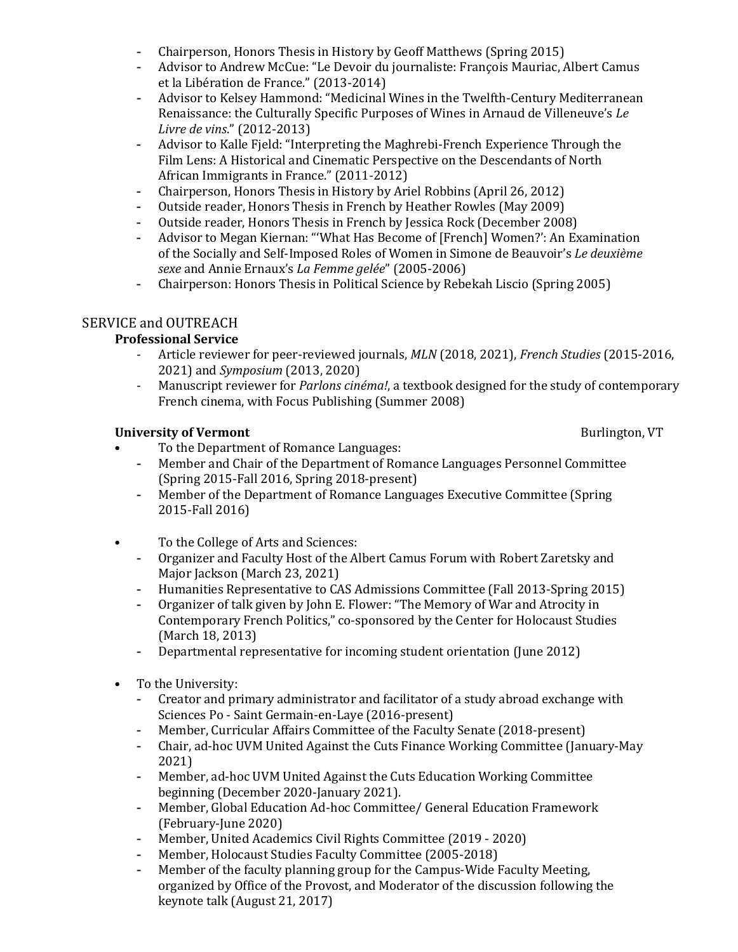- Chairperson, Honors Thesis in History by Geoff Matthews (Spring 2015)<br>- Advisor to Andrew McCue: "Le Devoir du journaliste: François Mauriac
- Advisor to Andrew McCue: "Le Devoir du journaliste: François Mauriac, Albert Camus et la Libération de France." (2013-2014)
- Advisor to Kelsey Hammond: "Medicinal Wines in the Twelfth-Century Mediterranean Renaissance: the Culturally Specific Purposes of Wines in Arnaud de Villeneuve's *Le Livre de vins*." (2012-2013)
- Advisor to Kalle Fjeld: "Interpreting the Maghrebi-French Experience Through the Film Lens: A Historical and Cinematic Perspective on the Descendants of North African Immigrants in France." (2011-2012)
- Chairperson, Honors Thesis in History by Ariel Robbins (April 26, 2012)<br>- Outside reader Honors Thesis in French by Heather Rowles (May 2009)
- Outside reader, Honors Thesis in French by Heather Rowles (May 2009)
- Outside reader, Honors Thesis in French by Jessica Rock (December 2008)<br>- Advisor to Megan Kiernan: "'What Has Become of [French] Women?': An Ex
- Advisor to Megan Kiernan: "'What Has Become of [French] Women?': An Examination of the Socially and Self-Imposed Roles of Women in Simone de Beauvoir's *Le deuxième sexe* and Annie Ernaux's *La Femme gelée*" (2005-2006)
- Chairperson: Honors Thesis in Political Science by Rebekah Liscio (Spring 2005)

### SERVICE and OUTREACH

### **Professional Service**

- Article reviewer for peer-reviewed journals, *MLN* (2018, 2021), *French Studies* (2015-2016, 2021) and *Symposium* (2013, 2020)
- Manuscript reviewer for *Parlons cinéma!*, a textbook designed for the study of contemporary French cinema, with Focus Publishing (Summer 2008)

### **University of Vermont** Burlington, VT

- To the Department of Romance Languages:
	- Member and Chair of the Department of Romance Languages Personnel Committee (Spring 2015-Fall 2016, Spring 2018-present)
	- Member of the Department of Romance Languages Executive Committee (Spring 2015-Fall 2016)
- To the College of Arts and Sciences:
	- Organizer and Faculty Host of the Albert Camus Forum with Robert Zaretsky and Major Jackson (March 23, 2021)
	- Humanities Representative to CAS Admissions Committee (Fall 2013-Spring 2015)
	- Organizer of talk given by John E. Flower: "The Memory of War and Atrocity in Contemporary French Politics," co-sponsored by the Center for Holocaust Studies (March 18, 2013)
	- Departmental representative for incoming student orientation (June 2012)
- To the University:<br>- Creator and pr
	- Creator and primary administrator and facilitator of a study abroad exchange with Sciences Po - Saint Germain-en-Laye (2016-present)
	- Member, Curricular Affairs Committee of the Faculty Senate (2018-present)<br>- Chair, ad-hoc IIVM United Against the Cuts Finance Working Committee (Jan
	- Chair, ad-hoc UVM United Against the Cuts Finance Working Committee (January-May 2021)
	- Member, ad-hoc UVM United Against the Cuts Education Working Committee beginning (December 2020-January 2021).
	- Member, Global Education Ad-hoc Committee/ General Education Framework (February-June 2020)
	- Member, United Academics Civil Rights Committee (2019 2020)
	- Member, Holocaust Studies Faculty Committee (2005-2018)
	- Member of the faculty planning group for the Campus-Wide Faculty Meeting. organized by Office of the Provost, and Moderator of the discussion following the keynote talk (August 21, 2017)